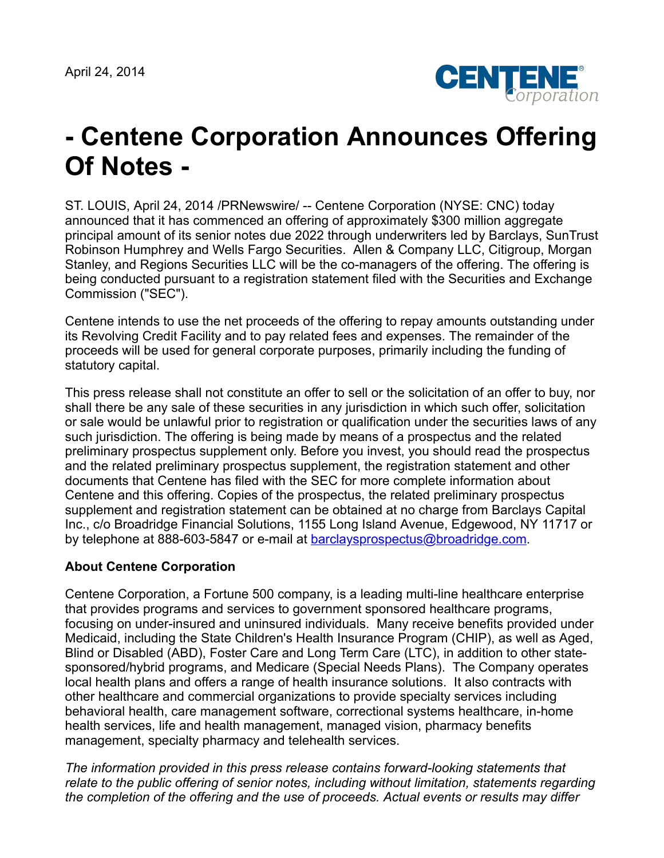April 24, 2014



## **- Centene Corporation Announces Offering Of Notes -**

ST. LOUIS, April 24, 2014 /PRNewswire/ -- Centene Corporation (NYSE: CNC) today announced that it has commenced an offering of approximately \$300 million aggregate principal amount of its senior notes due 2022 through underwriters led by Barclays, SunTrust Robinson Humphrey and Wells Fargo Securities. Allen & Company LLC, Citigroup, Morgan Stanley, and Regions Securities LLC will be the co-managers of the offering. The offering is being conducted pursuant to a registration statement filed with the Securities and Exchange Commission ("SEC").

Centene intends to use the net proceeds of the offering to repay amounts outstanding under its Revolving Credit Facility and to pay related fees and expenses. The remainder of the proceeds will be used for general corporate purposes, primarily including the funding of statutory capital.

This press release shall not constitute an offer to sell or the solicitation of an offer to buy, nor shall there be any sale of these securities in any jurisdiction in which such offer, solicitation or sale would be unlawful prior to registration or qualification under the securities laws of any such jurisdiction. The offering is being made by means of a prospectus and the related preliminary prospectus supplement only. Before you invest, you should read the prospectus and the related preliminary prospectus supplement, the registration statement and other documents that Centene has filed with the SEC for more complete information about Centene and this offering. Copies of the prospectus, the related preliminary prospectus supplement and registration statement can be obtained at no charge from Barclays Capital Inc., c/o Broadridge Financial Solutions, 1155 Long Island Avenue, Edgewood, NY 11717 or by telephone at 888-603-5847 or e-mail at [barclaysprospectus@broadridge.com.](mailto:barclaysprospectus@broadridge.com)

## **About Centene Corporation**

Centene Corporation, a Fortune 500 company, is a leading multi-line healthcare enterprise that provides programs and services to government sponsored healthcare programs, focusing on under-insured and uninsured individuals. Many receive benefits provided under Medicaid, including the State Children's Health Insurance Program (CHIP), as well as Aged, Blind or Disabled (ABD), Foster Care and Long Term Care (LTC), in addition to other statesponsored/hybrid programs, and Medicare (Special Needs Plans). The Company operates local health plans and offers a range of health insurance solutions. It also contracts with other healthcare and commercial organizations to provide specialty services including behavioral health, care management software, correctional systems healthcare, in-home health services, life and health management, managed vision, pharmacy benefits management, specialty pharmacy and telehealth services.

*The information provided in this press release contains forward-looking statements that relate to the public offering of senior notes, including without limitation, statements regarding the completion of the offering and the use of proceeds. Actual events or results may differ*